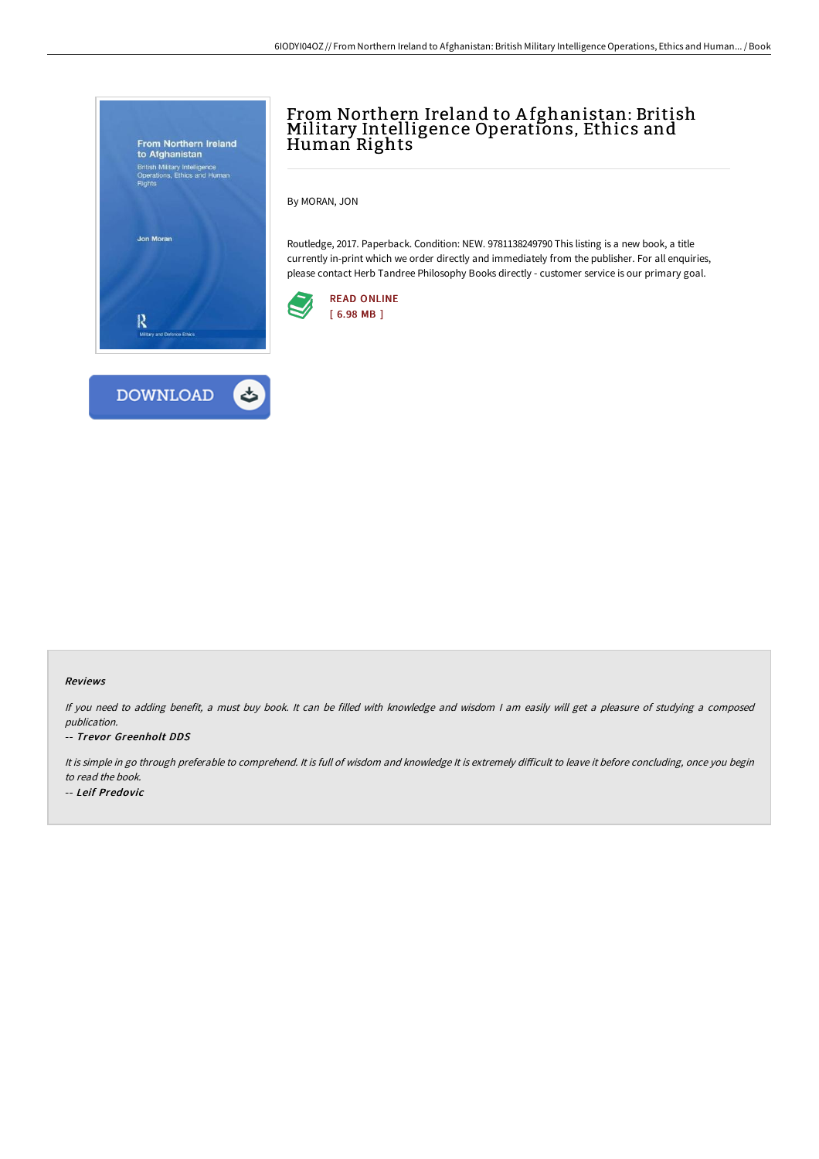

## From Northern Ireland to A fghanistan: British Military Intelligence Operations, Ethics and Human Rights

By MORAN, JON

Routledge, 2017. Paperback. Condition: NEW. 9781138249790 This listing is a new book, a title currently in-print which we order directly and immediately from the publisher. For all enquiries, please contact Herb Tandree Philosophy Books directly - customer service is our primary goal.





## Reviews

If you need to adding benefit, <sup>a</sup> must buy book. It can be filled with knowledge and wisdom <sup>I</sup> am easily will get <sup>a</sup> pleasure of studying <sup>a</sup> composed publication.

## -- Trevor Greenholt DDS

It is simple in go through preferable to comprehend. It is full of wisdom and knowledge It is extremely difficult to leave it before concluding, once you begin to read the book. -- Leif Predovic